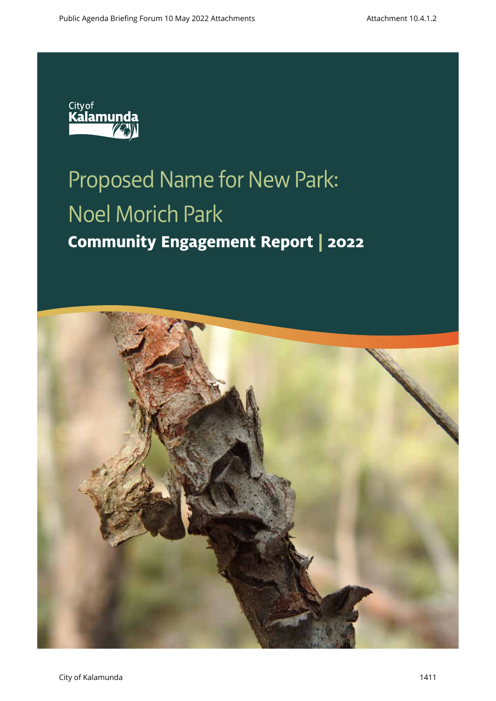

# Proposed Name for New Park: Noel Morich Park **Community Engagement Report | 2022**

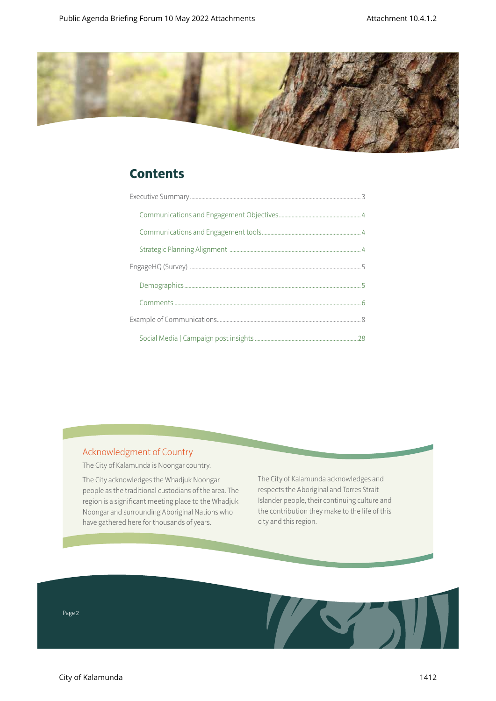

# **Contents**

### Acknowledgment of Country

The City of Kalamunda is Noongar country.

The City acknowledges the Whadjuk Noongar people as the traditional custodians of the area. The region is a significant meeting place to the Whadjuk Noongar and surrounding Aboriginal Nations who have gathered here for thousands of years.

The City of Kalamunda acknowledges and respects the Aboriginal and Torres Strait Islander people, their continuing culture and the contribution they make to the life of this city and this region.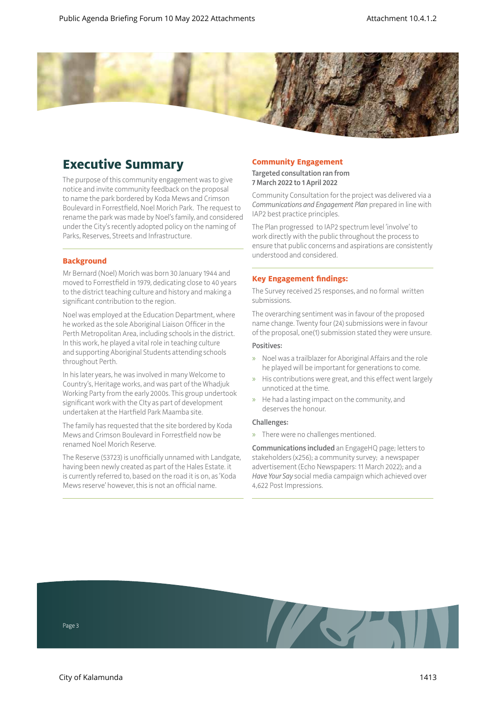

# **Executive Summary**

The purpose of this community engagement was to give notice and invite community feedback on the proposal to name the park bordered by Koda Mews and Crimson Boulevard in Forrestfield, Noel Morich Park. The request to rename the park was made by Noel's family, and considered under the City's recently adopted policy on the naming of Parks, Reserves, Streets and Infrastructure.

#### **Background**

Mr Bernard (Noel) Morich was born 30 January 1944 and moved to Forrestfield in 1979, dedicating close to 40 years to the district teaching culture and history and making a significant contribution to the region.

Noel was employed at the Education Department, where he worked as the sole Aboriginal Liaison Officer in the Perth Metropolitan Area, including schools in the district. In this work, he played a vital role in teaching culture and supporting Aboriginal Students attending schools throughout Perth.

In his later years, he was involved in many Welcome to Country's, Heritage works, and was part of the Whadjuk Working Party from the early 2000s. This group undertook significant work with the CIty as part of development undertaken at the Hartfield Park Maamba site.

The family has requested that the site bordered by Koda Mews and Crimson Boulevard in Forrestfield now be renamed Noel Morich Reserve.

The Reserve (53723) is unofficially unnamed with Landgate, having been newly created as part of the Hales Estate. it is currently referred to, based on the road it is on, as 'Koda Mews reserve' however, this is not an official name.

#### **Community Engagement**

Targeted consultation ran from 7 March 2022 to 1 April 2022

Community Consultation for the project was delivered via a *Communications and Engagement Plan* prepared in line with IAP2 best practice principles.

The Plan progressed to IAP2 spectrum level 'involve' to work directly with the public throughout the process to ensure that public concerns and aspirations are consistently understood and considered.

#### **Key Engagement findings:**

The Survey received 25 responses, and no formal written submissions.

The overarching sentiment was in favour of the proposed name change. Twenty four (24) submissions were in favour of the proposal, one(1) submission stated they were unsure.

#### Positives:

- » Noel was a trailblazer for Aboriginal Affairs and the role he played will be important for generations to come.
- » His contributions were great, and this effect went largely unnoticed at the time.
- » He had a lasting impact on the community, and deserves the honour.

#### Challenges:

» There were no challenges mentioned.

The Company of the Company of

Communications included an EngageHQ page; letters to stakeholders (x256); a community survey; a newspaper advertisement (Echo Newspapers: 11 March 2022); and a *Have Your Say* social media campaign which achieved over 4,622 Post Impressions.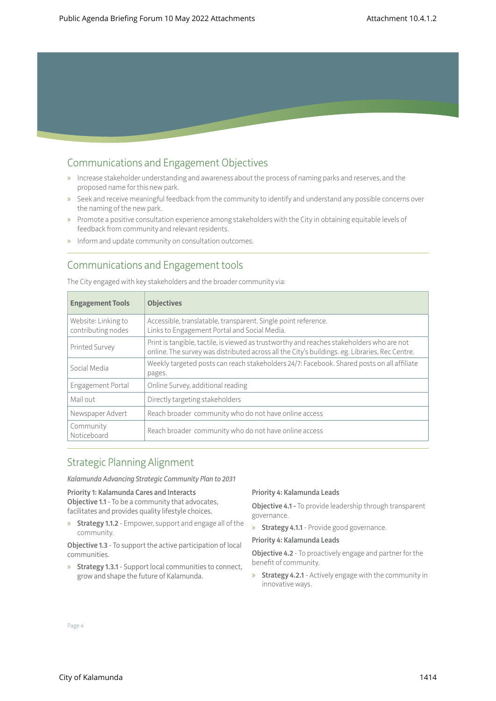## Communications and Engagement Objectives

- » Increase stakeholder understanding and awareness about the process of naming parks and reserves, and the proposed name for this new park.
- » Seek and receive meaningful feedback from the community to identify and understand any possible concerns over the naming of the new park.
- » Promote a positive consultation experience among stakeholders with the City in obtaining equitable levels of feedback from community and relevant residents.
- » Inform and update community on consultation outcomes.

### Communications and Engagement tools

The City engaged with key stakeholders and the broader community via:

| <b>Engagement Tools</b>                   | <b>Objectives</b>                                                                                                                                                                           |
|-------------------------------------------|---------------------------------------------------------------------------------------------------------------------------------------------------------------------------------------------|
| Website: Linking to<br>contributing nodes | Accessible, translatable, transparent. Single point reference.<br>Links to Engagement Portal and Social Media.                                                                              |
| <b>Printed Survey</b>                     | Print is tangible, tactile, is viewed as trustworthy and reaches stakeholders who are not<br>online. The survey was distributed across all the City's buildings. eg. Libraries, Rec Centre. |
| Social Media                              | Weekly targeted posts can reach stakeholders 24/7: Facebook. Shared posts on all affiliate<br>pages.                                                                                        |
| Engagement Portal                         | Online Survey, additional reading                                                                                                                                                           |
| Mail out                                  | Directly targeting stakeholders                                                                                                                                                             |
| Newspaper Advert                          | Reach broader community who do not have online access                                                                                                                                       |
| Community<br>Noticeboard                  | Reach broader community who do not have online access                                                                                                                                       |

### Strategic Planning Alignment

*Kalamunda Advancing Strategic Community Plan to 2031*

#### Priority 1: Kalamunda Cares and Interacts

Objective 1.1 - To be a community that advocates, facilitates and provides quality lifestyle choices.

» Strategy 1.1.2 - Empower, support and engage all of the community.

Objective 1.3 - To support the active participation of local communities.

» Strategy 1.3.1 - Support local communities to connect, grow and shape the future of Kalamunda.

#### Priority 4: Kalamunda Leads

Objective 4.1 - To provide leadership through transparent governance.

» Strategy 4.1.1 - Provide good governance.

#### Priority 4: Kalamunda Leads

**Objective 4.2** - To proactively engage and partner for the benefit of community.

» Strategy 4.2.1 - Actively engage with the community in innovative ways.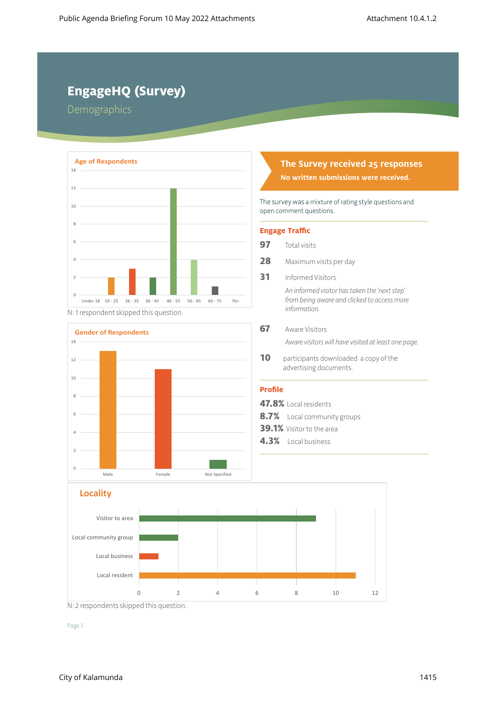# **EngageHQ (Survey)**

Demographics



N: 1 respondent skipped this question.



# **The Survey received 25 responses**

**No written submissions were received.**

The survey was a mixture of rating style questions and open comment questions.

#### **Engage Traffic**

- **97** Total visits
- **28** Maximum visits per day
- **31** Informed Visitors

*An informed visitor has taken the 'next step' from being aware and clicked to access more information.*

**67** Aware Visitors

*Aware visitors will have visited at least one page.*

10 participants downloaded a copy of the advertising documents.

#### **Profile**

- **47.8%** Local residents
- **8.7%** Local community groups
- **39.1%** Visitor to the area
- **4.3%** Local business



N: 2 respondents skipped this question.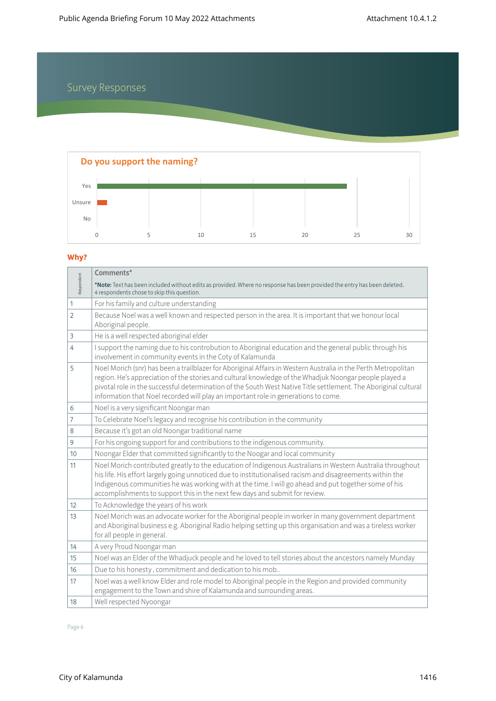# Survey Responses



### **Why?**

|                | Comments*                                                                                                                                                                                                                                                                                                                                                                                                                         |
|----------------|-----------------------------------------------------------------------------------------------------------------------------------------------------------------------------------------------------------------------------------------------------------------------------------------------------------------------------------------------------------------------------------------------------------------------------------|
| Respondent     | *Note: Text has been included without edits as provided. Where no response has been provided the entry has been deleted.<br>4 respondents chose to skip this question.                                                                                                                                                                                                                                                            |
| 1              | For his family and culture understanding                                                                                                                                                                                                                                                                                                                                                                                          |
| $\overline{2}$ | Because Noel was a well known and respected person in the area. It is important that we honour local<br>Aboriginal people.                                                                                                                                                                                                                                                                                                        |
| 3              | He is a well respected aboriginal elder                                                                                                                                                                                                                                                                                                                                                                                           |
| 4              | I support the naming due to his controbution to Aboriginal education and the general public through his<br>involvement in community events in the Coty of Kalamunda                                                                                                                                                                                                                                                               |
| 5              | Noel Morich (snr) has been a trailblazer for Aboriginal Affairs in Western Australia in the Perth Metropolitan<br>region. He's appreciation of the stories and cultural knowledge of the Whadjuk Noongar people played a<br>pivotal role in the successful determination of the South West Native Title settlement. The Aboriginal cultural<br>information that Noel recorded will play an important role in generations to come. |
| 6              | Noel is a very significant Noongar man                                                                                                                                                                                                                                                                                                                                                                                            |
| $\overline{7}$ | To Celebrate Noel's legacy and recognise his contribution in the community                                                                                                                                                                                                                                                                                                                                                        |
| 8              | Because it's got an old Noongar traditional name                                                                                                                                                                                                                                                                                                                                                                                  |
| 9              | For his ongoing support for and contributions to the indigenous community.                                                                                                                                                                                                                                                                                                                                                        |
| 10             | Noongar Elder that committed significantly to the Noogar and local community                                                                                                                                                                                                                                                                                                                                                      |
| 11             | Noel Morich contributed greatly to the education of Indigenous Australians in Western Australia throughout<br>his life. His effort largely going unnoticed due to institutionalised racism and disagreements within the<br>Indigenous communities he was working with at the time. I will go ahead and put together some of his<br>accomplishments to support this in the next few days and submit for review.                    |
| 12             | To Acknowledge the years of his work                                                                                                                                                                                                                                                                                                                                                                                              |
| 13             | Noel Morich was an advocate worker for the Aboriginal people in worker in many government department<br>and Aboriginal business e.g. Aboriginal Radio helping setting up this organisation and was a tireless worker<br>for all people in general.                                                                                                                                                                                |
| 14             | A very Proud Noongar man                                                                                                                                                                                                                                                                                                                                                                                                          |
| 15             | Noel was an Elder of the Whadjuck people and he loved to tell stories about the ancestors namely Munday                                                                                                                                                                                                                                                                                                                           |
| 16             | Due to his honesty, commitment and dedication to his mob                                                                                                                                                                                                                                                                                                                                                                          |
| 17             | Noel was a well know Elder and role model to Aboriginal people in the Region and provided community<br>engagement to the Town and shire of Kalamunda and surrounding areas.                                                                                                                                                                                                                                                       |
| 18             | Well respected Nyoongar                                                                                                                                                                                                                                                                                                                                                                                                           |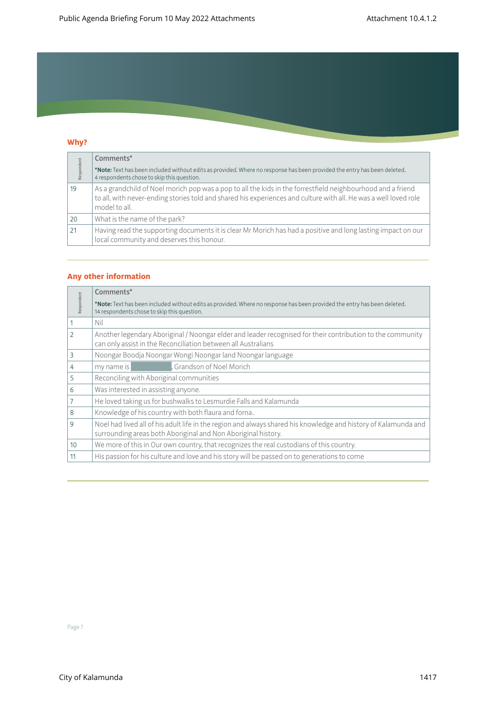## **Why?**

| Respondent | Comments*                                                                                                                                                                                                                                        |
|------------|--------------------------------------------------------------------------------------------------------------------------------------------------------------------------------------------------------------------------------------------------|
|            | *Note: Text has been included without edits as provided. Where no response has been provided the entry has been deleted.<br>4 respondents chose to skip this question.                                                                           |
| 19         | As a grandchild of Noel morich pop was a pop to all the kids in the forrestfield neighbourhood and a friend<br>to all, with never-ending stories told and shared his experiences and culture with all. He was a well loved role<br>model to all. |
| 20         | What is the name of the park?                                                                                                                                                                                                                    |
| 21         | Having read the supporting documents it is clear Mr Morich has had a positive and long lasting impact on our<br>local community and deserves this honour.                                                                                        |

#### **Any other information**

| Respondent     | Comments*                                                                                                                                                                        |  |  |
|----------------|----------------------------------------------------------------------------------------------------------------------------------------------------------------------------------|--|--|
|                | *Note: Text has been included without edits as provided. Where no response has been provided the entry has been deleted.<br>14 respondents chose to skip this question.          |  |  |
| 1              | Nil                                                                                                                                                                              |  |  |
| $\overline{2}$ | Another legendary Aboriginal / Noongar elder and leader recognised for their contribution to the community<br>can only assist in the Reconciliation between all Australians      |  |  |
| 3              | Noongar Boodja Noongar Wongi Noongar land Noongar language                                                                                                                       |  |  |
| 4              | Grandson of Noel Morich<br>my name is                                                                                                                                            |  |  |
| 5              | Reconciling with Aboriginal communities                                                                                                                                          |  |  |
| 6              | Was interested in assisting anyone.                                                                                                                                              |  |  |
| 7              | He loved taking us for bushwalks to Lesmurdie Falls and Kalamunda                                                                                                                |  |  |
| 8              | Knowledge of his country with both flaura and forna                                                                                                                              |  |  |
| 9              | Noel had lived all of his adult life in the region and always shared his knowledge and history of Kalamunda and<br>surrounding areas both Aboriginal and Non Aboriginal history. |  |  |
| 10             | We more of this in Our own country, that recognizes the real custodians of this country.                                                                                         |  |  |
| 11             | His passion for his culture and love and his story will be passed on to generations to come                                                                                      |  |  |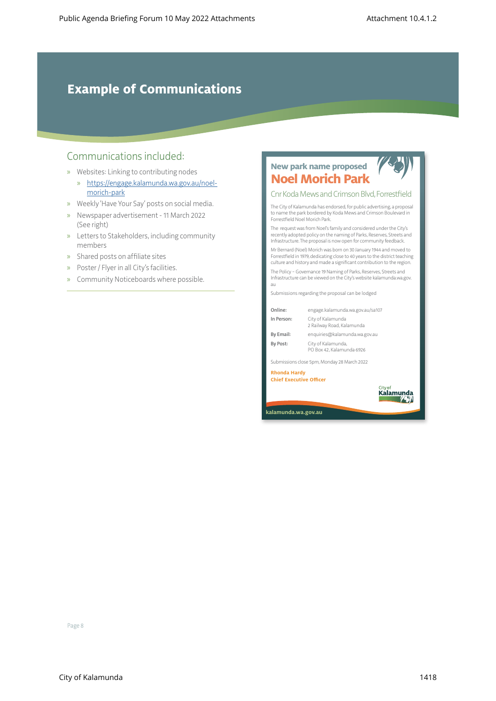# **Example of Communications**

### Communications included:

- » Websites: Linking to contributing nodes
	- » [https://engage.kalamunda.wa.gov.au/noel](https://engage.kalamunda.wa.gov.au/noel-morich-park)[morich-park](https://engage.kalamunda.wa.gov.au/noel-morich-park)
- » Weekly 'Have Your Say' posts on social media.
- » Newspaper advertisement 11 March 2022 (See right)
- » Letters to Stakeholders, including community members
- » Shared posts on affiliate sites
- » Poster / Flyer in all City's facilities.
- » Community Noticeboards where possible.



Kalamunda **1431** 

**kalamunda.wa.gov.au**